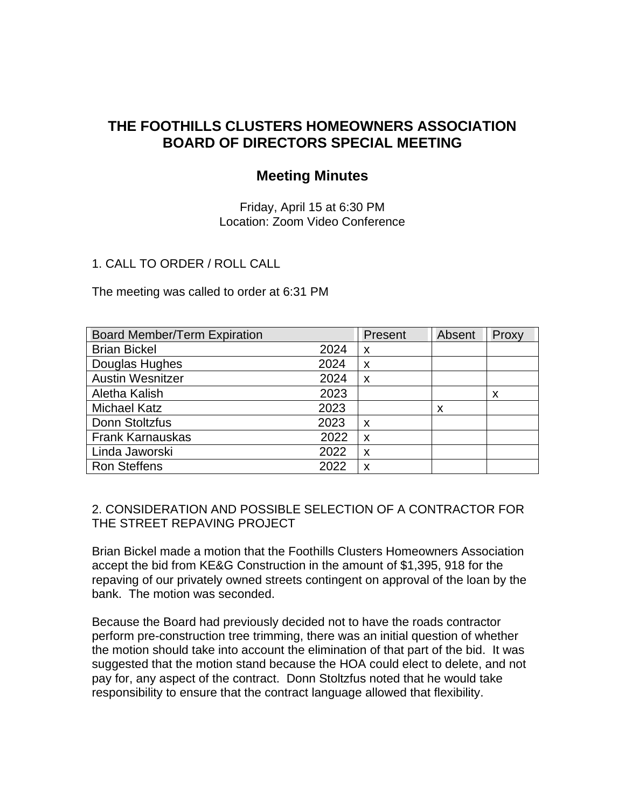## **THE FOOTHILLS CLUSTERS HOMEOWNERS ASSOCIATION BOARD OF DIRECTORS SPECIAL MEETING**

## **Meeting Minutes**

Friday, April 15 at 6:30 PM Location: Zoom Video Conference

1. CALL TO ORDER / ROLL CALL

The meeting was called to order at 6:31 PM

| <b>Board Member/Term Expiration</b> |      | Present                   | Absent | Proxy |
|-------------------------------------|------|---------------------------|--------|-------|
| <b>Brian Bickel</b>                 | 2024 | X                         |        |       |
| Douglas Hughes                      | 2024 | X                         |        |       |
| <b>Austin Wesnitzer</b>             | 2024 | X                         |        |       |
| Aletha Kalish                       | 2023 |                           |        | x     |
| <b>Michael Katz</b>                 | 2023 |                           | X      |       |
| Donn Stoltzfus                      | 2023 | X                         |        |       |
| <b>Frank Karnauskas</b>             | 2022 | $\boldsymbol{\mathsf{x}}$ |        |       |
| Linda Jaworski                      | 2022 | X                         |        |       |
| <b>Ron Steffens</b>                 | 2022 | X                         |        |       |

2. CONSIDERATION AND POSSIBLE SELECTION OF A CONTRACTOR FOR THE STREET REPAVING PROJECT

Brian Bickel made a motion that the Foothills Clusters Homeowners Association accept the bid from KE&G Construction in the amount of \$1,395, 918 for the repaving of our privately owned streets contingent on approval of the loan by the bank. The motion was seconded.

Because the Board had previously decided not to have the roads contractor perform pre-construction tree trimming, there was an initial question of whether the motion should take into account the elimination of that part of the bid. It was suggested that the motion stand because the HOA could elect to delete, and not pay for, any aspect of the contract. Donn Stoltzfus noted that he would take responsibility to ensure that the contract language allowed that flexibility.